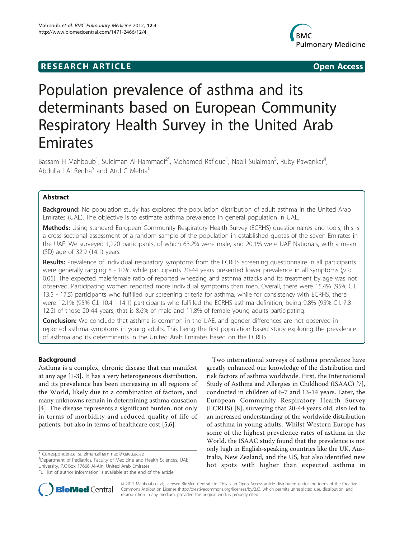## **RESEARCH ARTICLE Example 2014 CONSUMING A CONSUMING A CONSUMING A CONSUMING A CONSUMING A CONSUMING A CONSUMING A CONSUMING A CONSUMING A CONSUMING A CONSUMING A CONSUMING A CONSUMING A CONSUMING A CONSUMING A CONSUMI**



# Population prevalence of asthma and its determinants based on European Community Respiratory Health Survey in the United Arab Emirates

Bassam H Mahboub<sup>1</sup>, Suleiman Al-Hammadi<sup>2\*</sup>, Mohamed Rafique<sup>1</sup>, Nabil Sulaiman<sup>3</sup>, Ruby Pawankar<sup>4</sup> , Abdulla I Al Redha<sup>5</sup> and Atul C Mehta<sup>6</sup>

## Abstract

Background: No population study has explored the population distribution of adult asthma in the United Arab Emirates (UAE). The objective is to estimate asthma prevalence in general population in UAE.

Methods: Using standard European Community Respiratory Health Survey (ECRHS) questionnaires and tools, this is a cross-sectional assessment of a random sample of the population in established quotas of the seven Emirates in the UAE. We surveyed 1,220 participants, of which 63.2% were male, and 20.1% were UAE Nationals, with a mean (SD) age of 32.9 (14.1) years.

Results: Prevalence of individual respiratory symptoms from the ECRHS screening questionnaire in all participants were generally ranging 8 - 10%, while participants 20-44 years presented lower prevalence in all symptoms (p < 0.05). The expected male:female ratio of reported wheezing and asthma attacks and its treatment by age was not observed. Participating women reported more individual symptoms than men. Overall, there were 15.4% (95% C.I. 13.5 - 17.5) participants who fulfilled our screening criteria for asthma, while for consistency with ECRHS, there were 12.1% (95% C.I. 10.4 - 14.1) participants who fulfilled the ECRHS asthma definition, being 9.8% (95% C.I. 7.8 - 12.2) of those 20-44 years, that is 8.6% of male and 11.8% of female young adults participating.

Conclusion: We conclude that asthma is common in the UAE, and gender differences are not observed in reported asthma symptoms in young adults. This being the first population based study exploring the prevalence of asthma and its determinants in the United Arab Emirates based on the ECRHS.

## Background

Asthma is a complex, chronic disease that can manifest at any age [[1-3](#page-6-0)]. It has a very heterogeneous distribution, and its prevalence has been increasing in all regions of the World, likely due to a combination of factors, and many unknowns remain in determining asthma causation [[4\]](#page-6-0). The disease represents a significant burden, not only in terms of morbidity and reduced quality of life of patients, but also in terms of healthcare cost [\[5,6](#page-6-0)].

\* Correspondence: [suleiman.alhammadi@uaeu.ac.ae](mailto:suleiman.alhammadi@uaeu.ac.ae)

greatly enhanced our knowledge of the distribution and risk factors of asthma worldwide. First, the International Study of Asthma and Allergies in Childhood (ISAAC) [\[7](#page-6-0)], conducted in children of 6-7 and 13-14 years. Later, the European Community Respiratory Health Survey (ECRHS) [[8](#page-6-0)], surveying that 20-44 years old, also led to an increased understanding of the worldwide distribution of asthma in young adults. Whilst Western Europe has some of the highest prevalence rates of asthma in the World, the ISAAC study found that the prevalence is not only high in English-speaking countries like the UK, Australia, New Zealand, and the US, but also identified new hot spots with higher than expected asthma in

Two international surveys of asthma prevalence have



© 2012 Mahboub et al; licensee BioMed Central Ltd. This is an Open Access article distributed under the terms of the Creative Commons Attribution License [\(http://creativecommons.org/licenses/by/2.0](http://creativecommons.org/licenses/by/2.0)), which permits unrestricted use, distribution, and reproduction in any medium, provided the original work is properly cited.

<sup>&</sup>lt;sup>2</sup> Department of Pediatrics, Faculty of Medicine and Health Sciences, UAE University, P.O.Box 17666 Al-Ain, United Arab Emirates

Full list of author information is available at the end of the article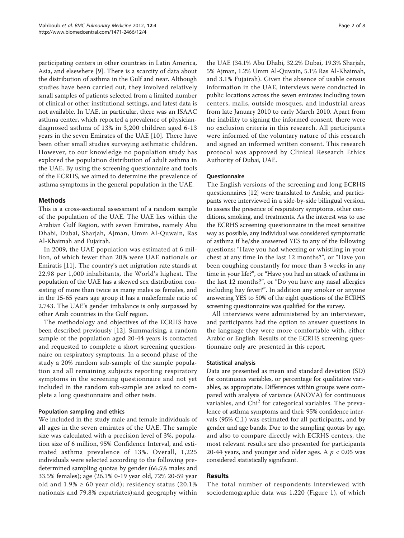participating centers in other countries in Latin America, Asia, and elsewhere [\[9](#page-6-0)]. There is a scarcity of data about the distribution of asthma in the Gulf and near. Although studies have been carried out, they involved relatively small samples of patients selected from a limited number of clinical or other institutional settings, and latest data is not available. In UAE, in particular, there was an ISAAC asthma center, which reported a prevalence of physiciandiagnosed asthma of 13% in 3,200 children aged 6-13 years in the seven Emirates of the UAE [[10\]](#page-6-0). There have been other small studies surveying asthmatic children. However, to our knowledge no population study has explored the population distribution of adult asthma in the UAE. By using the screening questionnaire and tools of the ECRHS, we aimed to determine the prevalence of asthma symptoms in the general population in the UAE.

## Methods

This is a cross-sectional assessment of a random sample of the population of the UAE. The UAE lies within the Arabian Gulf Region, with seven Emirates, namely Abu Dhabi, Dubai, Sharjah, Ajman, Umm Al-Quwain, Ras Al-Khaimah and Fujairah.

In 2009, the UAE population was estimated at 6 million, of which fewer than 20% were UAE nationals or Emiratis [\[11](#page-6-0)]. The country's net migration rate stands at 22.98 per 1,000 inhabitants, the World's highest. The population of the UAE has a skewed sex distribution consisting of more than twice as many males as females, and in the 15-65 years age group it has a male:female ratio of 2.743. The UAE's gender imbalance is only surpassed by other Arab countries in the Gulf region.

The methodology and objectives of the ECRHS have been described previously [\[12](#page-6-0)]. Summarising, a random sample of the population aged 20-44 years is contacted and requested to complete a short screening questionnaire on respiratory symptoms. In a second phase of the study a 20% random sub-sample of the sample population and all remaining subjects reporting respiratory symptoms in the screening questionnaire and not yet included in the random sub-sample are asked to complete a long questionnaire and other tests.

## Population sampling and ethics

We included in the study male and female individuals of all ages in the seven emirates of the UAE. The sample size was calculated with a precision level of 3%, population size of 6 million, 95% Confidence Interval, and estimated asthma prevalence of 13%. Overall, 1,225 individuals were selected according to the following predetermined sampling quotas by gender (66.5% males and 33.5% females); age (26.1% 0-19 year old, 72% 20-59 year old and  $1.9\% \ge 60$  year old); residency status (20.1%) nationals and 79.8% expatriates);and geography within

the UAE (34.1% Abu Dhabi, 32.2% Dubai, 19.3% Sharjah, 5% Ajman, 1.2% Umm Al-Quwain, 5.1% Ras Al-Khaimah, and 3.1% Fujairah). Given the absence of usable census information in the UAE, interviews were conducted in public locations across the seven emirates including town centers, malls, outside mosques, and industrial areas from late January 2010 to early March 2010. Apart from the inability to signing the informed consent, there were no exclusion criteria in this research. All participants were informed of the voluntary nature of this research and signed an informed written consent. This research protocol was approved by Clinical Research Ethics Authority of Dubai, UAE.

## Questionnaire

The English versions of the screening and long ECRHS questionnaires [\[12\]](#page-6-0) were translated to Arabic, and participants were interviewed in a side-by-side bilingual version, to assess the presence of respiratory symptoms, other conditions, smoking, and treatments. As the interest was to use the ECRHS screening questionnaire in the most sensitive way as possible, any individual was considered symptomatic of asthma if he/she answered YES to any of the following questions: "Have you had wheezing or whistling in your chest at any time in the last 12 months?", or "Have you been coughing constantly for more than 3 weeks in any time in your life?", or "Have you had an attack of asthma in the last 12 months?", or "Do you have any nasal allergies including hay fever?". In addition any smoker or anyone answering YES to 50% of the eight questions of the ECRHS screening questionnaire was qualified for the survey.

All interviews were administered by an interviewer, and participants had the option to answer questions in the language they were more comfortable with, either Arabic or English. Results of the ECRHS screening questionnaire only are presented in this report.

## Statistical analysis

Data are presented as mean and standard deviation (SD) for continuous variables, or percentage for qualitative variables, as appropriate. Differences within groups were compared with analysis of variance (ANOVA) for continuous variables, and  $Chi<sup>2</sup>$  for categorical variables. The prevalence of asthma symptoms and their 95% confidence intervals (95% C.I.) was estimated for all participants, and by gender and age bands. Due to the sampling quotas by age, and also to compare directly with ECRHS centers, the most relevant results are also presented for participants 20-44 years, and younger and older ages. A  $p < 0.05$  was considered statistically significant.

## Results

The total number of respondents interviewed with sociodemographic data was 1,220 (Figure [1](#page-2-0)), of which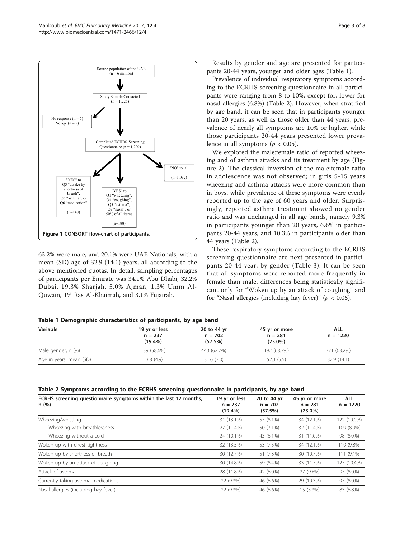<span id="page-2-0"></span>

63.2% were male, and 20.1% were UAE Nationals, with a mean (SD) age of 32.9 (14.1) years, all according to the above mentioned quotas. In detail, sampling percentages of participants per Emirate was 34.1% Abu Dhabi, 32.2% Dubai, 19.3% Sharjah, 5.0% Ajman, 1.3% Umm Al-Quwain, 1% Ras Al-Khaimah, and 3.1% Fujairah.

Results by gender and age are presented for participants 20-44 years, younger and older ages (Table 1).

Prevalence of individual respiratory symptoms according to the ECRHS screening questionnaire in all participants were ranging from 8 to 10%, except for, lower for nasal allergies (6.8%) (Table 2). However, when stratified by age band, it can be seen that in participants younger than 20 years, as well as those older than 44 years, prevalence of nearly all symptoms are 10% or higher, while those participants 20-44 years presented lower prevalence in all symptoms ( $p < 0.05$ ).

We explored the male:female ratio of reported wheezing and of asthma attacks and its treatment by age (Figure [2](#page-3-0)). The classical inversion of the male:female ratio in adolescence was not observed; in girls 5-15 years wheezing and asthma attacks were more common than in boys, while prevalence of these symptoms were evenly reported up to the age of 60 years and older. Surprisingly, reported asthma treatment showed no gender ratio and was unchanged in all age bands, namely 9.3% in participants younger than 20 years, 6.6% in participants 20-44 years, and 10.3% in participants older than 44 years (Table 2).

These respiratory symptoms according to the ECRHS screening questionnaire are next presented in participants 20-44 year, by gender (Table [3](#page-4-0)). It can be seen that all symptoms were reported more frequently in female than male, differences being statistically significant only for "Woken up by an attack of coughing" and for "Nasal allergies (including hay fever)" ( $p < 0.05$ ).

| Table T Demographic characteristics of participants, by age band |                                       |                                     |                                          |                   |  |
|------------------------------------------------------------------|---------------------------------------|-------------------------------------|------------------------------------------|-------------------|--|
| Variable                                                         | 19 yr or less<br>$n = 237$<br>(19.4%) | 20 to 44 yr<br>$n = 702$<br>(57.5%) | 45 yr or more<br>$n = 281$<br>$(23.0\%)$ | ALL<br>$n = 1220$ |  |
| Male gender, n (%)                                               | 139 (58.6%)                           | 440 (62.7%)                         | 192 (68.3%)                              | 771 (63.2%)       |  |
| Age in years, mean (SD)                                          | 13.8(4.9)                             | 31.6(7.0)                           | 52.3(5.5)                                | 32.9 (14.1)       |  |

agraphic characteristics of participants, by age band

| Table 2 Symptoms according to the ECRHS screening questionnaire in participants, by age band |  |  |  |
|----------------------------------------------------------------------------------------------|--|--|--|
|----------------------------------------------------------------------------------------------|--|--|--|

| ECRHS screening questionnaire symptoms within the last 12 months,<br>n(%) | 19 yr or less<br>$n = 237$<br>$(19.4\%)$ | 20 to 44 yr<br>$n = 702$<br>(57.5%) | 45 yr or more<br>$n = 281$<br>$(23.0\%)$ | <b>ALL</b><br>$n = 1220$ |
|---------------------------------------------------------------------------|------------------------------------------|-------------------------------------|------------------------------------------|--------------------------|
| Wheezing/whistling                                                        | 31 (13.1%)                               | 57 (8,1%)                           | 34 (12.1%)                               | 122 (10.0%)              |
| Wheezing with breathlessness                                              | 27 (11.4%)                               | 50 (7.1%)                           | 32 (11.4%)                               | 109 (8.9%)               |
| Wheezing without a cold                                                   | 24 (10.1%)                               | 43 (6.1%)                           | 31 (11.0%)                               | 98 (8.0%)                |
| Woken up with chest tightness                                             | 32 (13.5%)                               | 53 (7.5%)                           | 34 (12.1%)                               | 119 (9.8%)               |
| Woken up by shortness of breath                                           | 30 (12.7%)                               | 51 (7.3%)                           | 30 (10.7%)                               | 111 (9.1%)               |
| Woken up by an attack of coughing                                         | 30 (14.8%)                               | 59 (8.4%)                           | 33 (11.7%)                               | 127 (10.4%)              |
| Attack of asthma                                                          | 28 (11.8%)                               | 42 (6.0%)                           | 27 (9.6%)                                | 97 (8.0%)                |
| Currently taking asthma medications                                       | 22 (9.3%)                                | 46 (6.6%)                           | 29 (10.3%)                               | 97 (8.0%)                |
| Nasal allergies (including hay fever)                                     | 22 (9.3%)                                | 46 (6.6%)                           | 15 (5.3%)                                | 83 (6.8%)                |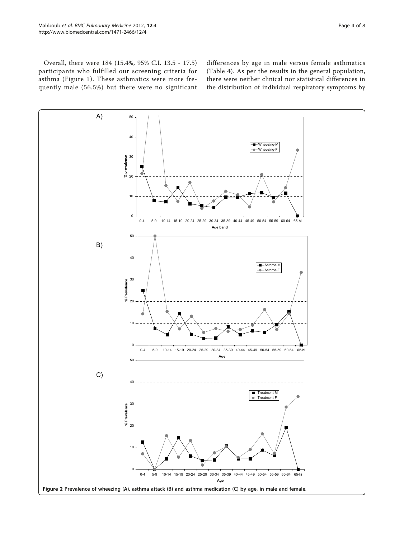<span id="page-3-0"></span>Overall, there were 184 (15.4%, 95% C.I. 13.5 - 17.5) participants who fulfilled our screening criteria for asthma (Figure [1\)](#page-2-0). These asthmatics were more frequently male (56.5%) but there were no significant

differences by age in male versus female asthmatics (Table [4](#page-4-0)). As per the results in the general population, there were neither clinical nor statistical differences in the distribution of individual respiratory symptoms by

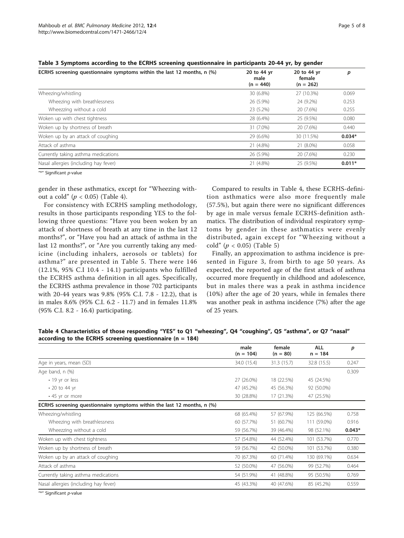| ECRHS screening questionnaire symptoms within the last 12 months, n (%) | 20 to 44 yr<br>male<br>$(n = 440)$ | 20 to 44 yr<br>female<br>$(n = 262)$ | p        |
|-------------------------------------------------------------------------|------------------------------------|--------------------------------------|----------|
| Wheezing/whistling                                                      | 30 (6.8%)                          | 27 (10.3%)                           | 0.069    |
| Wheezing with breathlessness                                            | 26 (5.9%)                          | 24 (9.2%)                            | 0.253    |
| Wheezzing without a cold                                                | 23 (5.2%)                          | 20 (7.6%)                            | 0.255    |
| Woken up with chest tightness                                           | 28 (6.4%)                          | 25 (9.5%)                            | 0.080    |
| Woken up by shortness of breath                                         | 31 (7.0%)                          | 20 (7.6%)                            | 0.440    |
| Woken up by an attack of coughing                                       | 29 (6.6%)                          | 30 (11.5%)                           | $0.034*$ |
| Attack of asthma                                                        | 21 (4.8%)                          | 21 (8.0%)                            | 0.058    |
| Currently taking asthma medications                                     | 26 (5.9%)                          | 20 (7.6%)                            | 0.230    |
| Nasal allergies (including hay fever)                                   | 21 (4.8%)                          | 25 (9.5%)                            | $0.011*$ |

<span id="page-4-0"></span>Table 3 Symptoms according to the ECRHS screening questionnaire in participants 20-44 yr, by gender

"\*" Significant p-value

gender in these asthmatics, except for "Wheezing without a cold" ( $p < 0.05$ ) (Table 4).

For consistency with ECRHS sampling methodology, results in those participants responding YES to the following three questions: "Have you been woken by an attack of shortness of breath at any time in the last 12 months?", or "Have you had an attack of asthma in the last 12 months?", or "Are you currently taking any medicine (including inhalers, aerosols or tablets) for asthma?" are presented in Table [5](#page-5-0). There were 146 (12.1%, 95% C.I 10.4 - 14.1) participants who fulfilled the ECRHS asthma definition in all ages. Specifically, the ECRHS asthma prevalence in those 702 participants with 20-44 years was 9.8% (95% C.I. 7.8 - 12.2), that is in males 8.6% (95% C.I. 6.2 - 11.7) and in females 11.8% (95% C.I. 8.2 - 16.4) participating.

Compared to results in Table 4, these ECRHS-definition asthmatics were also more frequently male (57.5%), but again there were no significant differences by age in male versus female ECRHS-definition asthmatics. The distribution of individual respiratory symptoms by gender in these asthmatics were evenly distributed, again except for "Wheezing without a cold" (p < 0.05) (Table [5\)](#page-5-0)

Finally, an approximation to asthma incidence is presented in Figure [3,](#page-5-0) from birth to age 50 years. As expected, the reported age of the first attack of asthma occurred more frequently in childhood and adolescence, but in males there was a peak in asthma incidence (10%) after the age of 20 years, while in females there was another peak in asthma incidence (7%) after the age of 25 years.

Table 4 Characteristics of those responding "YES" to Q1 "wheezing", Q4 "coughing", Q5 "asthma", or Q7 "nasal" according to the ECRHS screening questionnaire ( $n = 184$ )

|                                                                         | male<br>$(n = 104)$ | female<br>$(n = 80)$ | <b>ALL</b><br>$n = 184$ | p        |
|-------------------------------------------------------------------------|---------------------|----------------------|-------------------------|----------|
| Age in years, mean (SD)                                                 | 34.0 (15.4)         | 31.3 (15.7)          | 32.8 (15.5)             | 0.247    |
| Age band, n (%)                                                         |                     |                      |                         | 0.309    |
| • 19 yr or less                                                         | 27 (26.0%)          | 18 (22.5%)           | 45 (24.5%)              |          |
| $\cdot$ 20 to 44 yr                                                     | 47 (45.2%)          | 45 (56.3%)           | 92 (50.0%)              |          |
| • 45 yr or more                                                         | 30 (28.8%)          | 17 (21.3%)           | 47 (25.5%)              |          |
| ECRHS screening questionnaire symptoms within the last 12 months, n (%) |                     |                      |                         |          |
| Wheezing/whistling                                                      | 68 (65.4%)          | 57 (67.9%)           | 125 (66.5%)             | 0.758    |
| Wheezing with breathlessness                                            | 60 (57.7%)          | 51 (60.7%)           | 111 (59.0%)             | 0.916    |
| Wheezzing without a cold                                                | 59 (56.7%)          | 39 (46.4%)           | 98 (52.1%)              | $0.043*$ |
| Woken up with chest tightness                                           | 57 (54.8%)          | 44 (52.4%)           | 101 (53.7%)             | 0.770    |
| Woken up by shortness of breath                                         | 59 (56.7%)          | 42 (50.0%)           | 101 (53.7%)             | 0.380    |
| Woken up by an attack of coughing                                       | 70 (67.3%)          | 60 (71.4%)           | 130 (69.1%)             | 0.634    |
| Attack of asthma                                                        | 52 (50.0%)          | 47 (56.0%)           | 99 (52.7%)              | 0.464    |
| Currently taking asthma medications                                     | 54 (51.9%)          | 41 (48.8%)           | 95 (50.5%)              | 0.769    |
| Nasal allergies (including hay fever)                                   | 45 (43.3%)          | 40 (47.6%)           | 85 (45.2%)              | 0.559    |

"\*" Significant p-value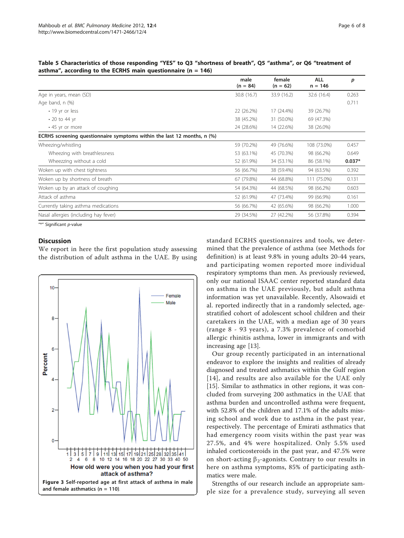|                                                                         | male<br>$(n = 84)$ | female<br>$(n = 62)$ | <b>ALL</b><br>$n = 146$ | p        |
|-------------------------------------------------------------------------|--------------------|----------------------|-------------------------|----------|
| Age in years, mean (SD)                                                 | 30.8 (16.7)        | 33.9 (16.2)          | 32.6 (16.4)             | 0.263    |
| Age band, n (%)                                                         |                    |                      |                         | 0.711    |
| • 19 yr or less                                                         | 22 (26.2%)         | 17 (24.4%)           | 39 (26.7%)              |          |
| • 20 to 44 yr                                                           | 38 (45.2%)         | 31 (50.0%)           | 69 (47.3%)              |          |
| • 45 yr or more                                                         | 24 (28.6%)         | 14 (22.6%)           | 38 (26.0%)              |          |
| ECRHS screening questionnaire symptoms within the last 12 months, n (%) |                    |                      |                         |          |
| Wheezing/whistling                                                      | 59 (70.2%)         | 49 (76.6%)           | 108 (73.0%)             | 0.457    |
| Wheezing with breathlessness                                            | 53 (63.1%)         | 45 (70.3%)           | 98 (66.2%)              | 0.649    |
| Wheezzing without a cold                                                | 52 (61.9%)         | 34 (53.1%)           | 86 (58.1%)              | $0.037*$ |
| Woken up with chest tightness                                           | 56 (66.7%)         | 38 (59.4%)           | 94 (63.5%)              | 0.392    |
| Woken up by shortness of breath                                         | 67 (79.8%)         | 44 (68.8%)           | 111 (75.0%)             | 0.131    |
| Woken up by an attack of coughing                                       | 54 (64.3%)         | 44 (68.5%)           | 98 (66.2%)              | 0.603    |
| Attack of asthma                                                        | 52 (61.9%)         | 47 (73.4%)           | 99 (66.9%)              | 0.161    |
| Currently taking asthma medications                                     | 56 (66.7%)         | 42 (65.6%)           | 98 (66.2%)              | 1.000    |
| Nasal allergies (including hay fever)                                   | 29 (34.5%)         | 27 (42.2%)           | 56 (37.8%)              | 0.394    |

<span id="page-5-0"></span>Table 5 Characteristics of those responding "YES" to Q3 "shortness of breath", Q5 "asthma", or Q6 "treatment of asthma", according to the ECRHS main questionnaire ( $n = 146$ )

"\*" Significant p-value

## **Discussion**

We report in here the first population study assessing the distribution of adult asthma in the UAE. By using



standard ECRHS questionnaires and tools, we determined that the prevalence of asthma (see Methods for definition) is at least 9.8% in young adults 20-44 years, and participating women reported more individual respiratory symptoms than men. As previously reviewed, only our national ISAAC center reported standard data on asthma in the UAE previously, but adult asthma information was yet unavailable. Recently, Alsowaidi et al. reported indirectly that in a randomly selected, agestratified cohort of adolescent school children and their caretakers in the UAE, with a median age of 30 years (range 8 - 93 years), a 7.3% prevalence of comorbid allergic rhinitis asthma, lower in immigrants and with increasing age [[13\]](#page-6-0).

Our group recently participated in an international endeavor to explore the insights and realities of already diagnosed and treated asthmatics within the Gulf region [[14\]](#page-6-0), and results are also available for the UAE only [[15\]](#page-6-0). Similar to asthmatics in other regions, it was concluded from surveying 200 asthmatics in the UAE that asthma burden and uncontrolled asthma were frequent, with 52.8% of the children and 17.1% of the adults missing school and work due to asthma in the past year, respectively. The percentage of Emirati asthmatics that had emergency room visits within the past year was 27.5%, and 4% were hospitalized. Only 5.5% used inhaled corticosteroids in the past year, and 47.5% were on short-acting  $\beta_2$ -agonists. Contrary to our results in here on asthma symptoms, 85% of participating asthmatics were male.

Strengths of our research include an appropriate sample size for a prevalence study, surveying all seven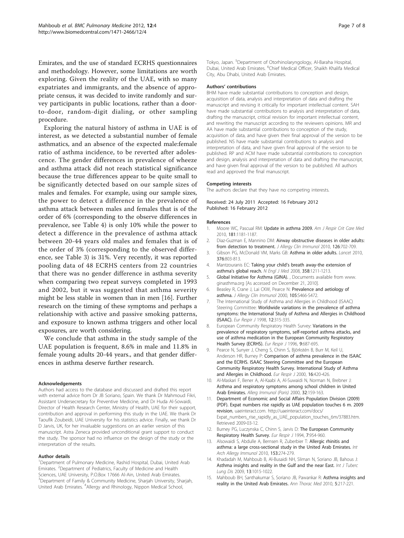<span id="page-6-0"></span>Emirates, and the use of standard ECRHS questionnaires and methodology. However, some limitations are worth exploring. Given the reality of the UAE, with so many expatriates and immigrants, and the absence of appropriate census, it was decided to invite randomly and survey participants in public locations, rather than a doorto-door, random-digit dialing, or other sampling procedure.

Exploring the natural history of asthma in UAE is of interest, as we detected a substantial number of female asthmatics, and an absence of the expected male:female ratio of asthma incidence, to be reverted after adolescence. The gender differences in prevalence of wheeze and asthma attack did not reach statistical significance because the true differences appear to be quite small to be significantly detected based on our sample sizes of males and females. For example, using our sample sizes, the power to detect a difference in the prevalence of asthma attack between males and females that is of the order of 6% (corresponding to the observe differences in prevalence, see Table [4\)](#page-4-0) is only 10% while the power to detect a difference in the prevalence of asthma attack between 20-44 years old males and females that is of the order of 3% (corresponding to the observed difference, see Table [3](#page-4-0)) is 31%. Very recently, it was reported pooling data of 48 ECRHS centers from 22 countries that there was no gender difference in asthma severity when comparing two repeat surveys completed in 1993 and 2002, but it was suggested that asthma severity might be less stable in women than in men [[16](#page-7-0)]. Further research on the timing of these symptoms and perhaps a relationship with active and passive smoking patterns, and exposure to known asthma triggers and other local exposures, are worth considering.

We conclude that asthma in the study sample of the UAE population is frequent, 8.6% in male and 11.8% in female young adults 20-44 years., and that gender differences in asthma deserve further research.

#### Acknowledgements

Authors had access to the database and discussed and drafted this report with external advice from Dr JB Soriano, Spain. We thank Dr Mahmoud Fikri, Assistant Undersecretary for Preventive Medicine, and Dr Huda Al-Sowaidi, Director of Health Research Center, Ministry of Health, UAE for their support, contribution and approval in performing this study in the UAE. We thank Dr Taoufik Zoubeidi, UAE University for his statistics advice. Finally, we thank Dr D Jarvis, UK, for her invaluable suggestions on an earlier version of this manuscript. Astra Zeneca provided unconditional grant support to conduct the study. The sponsor had no influence on the design of the study or the interpretation of the results.

#### Author details

<sup>1</sup>Department of Pulmonary Medicine, Rashid Hospital, Dubai, United Arab Emirates. <sup>2</sup>Department of Pediatrics, Faculty of Medicine and Health Sciences, UAE University, P.O.Box 17666 Al-Ain, United Arab Emirates. <sup>3</sup>Department of Family & Community Medicine, Sharjah University, Sharjah, United Arab Emirates. <sup>4</sup> Allergy and Rhinology, Nippon Medical School,

Tokyo, Japan. <sup>5</sup>Department of Otorhinolaryngology, Al-Baraha Hospital Dubai, United Arab Emirates. <sup>6</sup>Chief Medical Officer, Shaikh Khalifa Medical City, Abu Dhabi, United Arab Emirates.

#### Authors' contributions

BHM have made substantial contributions to conception and design, acquisition of data, analysis and interpretation of data and drafting the manuscript and revising it critically for important intellectual content. SAH have made substantial contributions to analysis and interpretation of data, drafting the manuscript, critical revision for important intellectual content, and rewriting the manuscript according to the reviewers opinions. MR and AA have made substantial contributions to conception of the study, acquisition of data, and have given their final approval of the version to be published. NS have made substantial contributions to analysis and interpretation of data, and have given final approval of the version to be published. RP and ACM have made substantial contributions to conception and design, analysis and interpretation of data and drafting the manuscript, and have given final approval of the version to be published. All authors read and approved the final manuscript.

#### Competing interests

The authors declare that they have no competing interests.

#### Received: 24 July 2011 Accepted: 16 February 2012 Published: 16 February 2012

## References

- Moore WC, Pascual RM: [Update in asthma 2009.](http://www.ncbi.nlm.nih.gov/pubmed/20516492?dopt=Abstract) Am J Respir Crit Care Med 2010, 181:1181-1187.
- 2. Diaz-Guzman F, Mannino DM: [Airway obstructive diseases in older adults:](http://www.ncbi.nlm.nih.gov/pubmed/20920760?dopt=Abstract) [from detection to treatment.](http://www.ncbi.nlm.nih.gov/pubmed/20920760?dopt=Abstract) J Allergy Clin Immunol 2010, 126:702-709.
- Gibson PG, McDonald VM, Marks GB: [Asthma in older adults.](http://www.ncbi.nlm.nih.gov/pubmed/20816547?dopt=Abstract) Lancet 2010, 376:803-813.
- 4. Mantzouranis EC: Taking your child'[s breath away-the extension of](http://www.ncbi.nlm.nih.gov/pubmed/18354100?dopt=Abstract) asthma'[s global reach.](http://www.ncbi.nlm.nih.gov/pubmed/18354100?dopt=Abstract) N Engl J Med 2008, 358:1211-1213.
- 5. Global Initiative for Asthma (GINA). , Documents available from www. ginasthma.org [As accessed on December 21, 2010].
- 6. Beasley R, Crane J, Lai CKW, Pearce N: [Prevalence and aetiology of](http://www.ncbi.nlm.nih.gov/pubmed/10669525?dopt=Abstract) [asthma.](http://www.ncbi.nlm.nih.gov/pubmed/10669525?dopt=Abstract) J Allergy Clin Immunol 2000, 105:S466-S472.
- 7. The International Study of Asthma and Allergies in Childhood (ISAAC) Steering Committee: [Worldwide variations in the prevalence of asthma](http://www.ncbi.nlm.nih.gov/pubmed/9727780?dopt=Abstract) [symptoms: the International Study of Asthma and Allergies in Childhood](http://www.ncbi.nlm.nih.gov/pubmed/9727780?dopt=Abstract) [\(ISAAC\).](http://www.ncbi.nlm.nih.gov/pubmed/9727780?dopt=Abstract) Eur Respir J 1998, 12:315-335.
- 8. European Community Respiratory Health Survey: [Variations in the](http://www.ncbi.nlm.nih.gov/pubmed/8726932?dopt=Abstract) [prevalence of respiratory symptoms, self-reported asthma attacks, and](http://www.ncbi.nlm.nih.gov/pubmed/8726932?dopt=Abstract) [use of asthma medication in the European Community Respiratory](http://www.ncbi.nlm.nih.gov/pubmed/8726932?dopt=Abstract) [Health Survey \(ECRHS\).](http://www.ncbi.nlm.nih.gov/pubmed/8726932?dopt=Abstract) Eur Respir J 1996, 9:687-695.
- 9. Pearce N, Sunyer J, Cheng S, Chinn S, Björkstén B, Burr M, Keil U, Anderson HR, Burney P: [Comparison of asthma prevalence in the ISAAC](http://www.ncbi.nlm.nih.gov/pubmed/11028654?dopt=Abstract) [and the ECRHS. ISAAC Steering Committee and the European](http://www.ncbi.nlm.nih.gov/pubmed/11028654?dopt=Abstract) [Community Respiratory Health Survey. International Study of Asthma](http://www.ncbi.nlm.nih.gov/pubmed/11028654?dopt=Abstract) [and Allergies in Childhood.](http://www.ncbi.nlm.nih.gov/pubmed/11028654?dopt=Abstract) Eur Respir J 2000, 16:420-426.
- 10. Al-Maskari F, Bener A, Al-Kaabi A, Al-Suwaidi N, Norman N, Brebner J: Asthma and respiratory symptoms among school children in United Arab Emirates. Allerg Immunol (Paris) 2000, 32:159-163.
- 11. Department of Economic and Social Affairs Population Division (2009) (PDF). Expat numbers rise rapidly as UAE population touches 6 m. 2009 revision, uaeinteract.com. http://uaeinteract.com/docs/ Expat\_numbers\_rise\_rapidly\_as\_UAE\_population\_touches\_6m/37883.htm. Retrieved 2009-03-12.
- 12. Burney PG, Luczynska C, Chinn S, Jarvis D: [The European Community](http://www.ncbi.nlm.nih.gov/pubmed/8050554?dopt=Abstract) [Respiratory Health Survey.](http://www.ncbi.nlm.nih.gov/pubmed/8050554?dopt=Abstract) Eur Respir J 1994, 7:954-960.
- 13. Alsowaidi S, Abdulle A, Bernsen R, Zuberbier T: [Allergic rhinitis and](http://www.ncbi.nlm.nih.gov/pubmed/20484926?dopt=Abstract) [asthma: a large cross-sectional study in the United Arab Emirates.](http://www.ncbi.nlm.nih.gov/pubmed/20484926?dopt=Abstract) Int Arch Allergy Immunol 2010, 153:274-279.
- 14. Khadadah M, Mahboub B, Al-Busaidi NH, Sliman N, Soriano JB, Bahous J: [Asthma insights and reality in the Gulf and the near East.](http://www.ncbi.nlm.nih.gov/pubmed/19723383?dopt=Abstract) Int J Tuberc Lung Dis 2009, 13:1015-1022.
- 15. Mahboub BH, Santhakumar S, Soriano JB, Pawankar R: [Asthma insights and](http://www.ncbi.nlm.nih.gov/pubmed/20981181?dopt=Abstract) [reality in the United Arab Emirates.](http://www.ncbi.nlm.nih.gov/pubmed/20981181?dopt=Abstract) Ann Thorac Med 2010, 5:217-221.